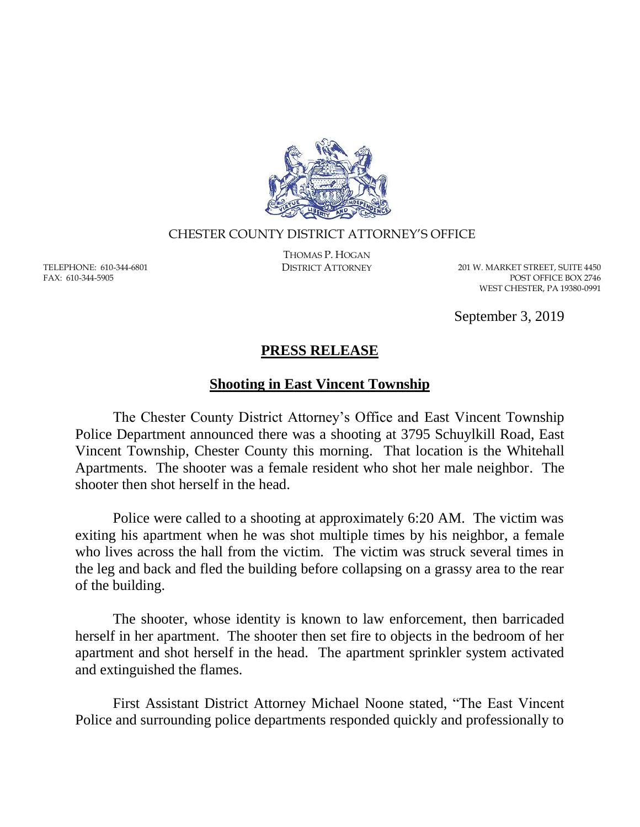

## CHESTER COUNTY DISTRICT ATTORNEY'S OFFICE

TELEPHONE: 610-344-6801 FAX: 610-344-5905

THOMAS P. HOGAN

DISTRICT ATTORNEY 201 W. MARKET STREET, SUITE 4450 POST OFFICE BOX 2746 WEST CHESTER, PA 19380-0991

September 3, 2019

## **PRESS RELEASE**

## **Shooting in East Vincent Township**

The Chester County District Attorney's Office and East Vincent Township Police Department announced there was a shooting at 3795 Schuylkill Road, East Vincent Township, Chester County this morning. That location is the Whitehall Apartments. The shooter was a female resident who shot her male neighbor. The shooter then shot herself in the head.

Police were called to a shooting at approximately 6:20 AM. The victim was exiting his apartment when he was shot multiple times by his neighbor, a female who lives across the hall from the victim. The victim was struck several times in the leg and back and fled the building before collapsing on a grassy area to the rear of the building.

The shooter, whose identity is known to law enforcement, then barricaded herself in her apartment. The shooter then set fire to objects in the bedroom of her apartment and shot herself in the head. The apartment sprinkler system activated and extinguished the flames.

First Assistant District Attorney Michael Noone stated, "The East Vincent Police and surrounding police departments responded quickly and professionally to